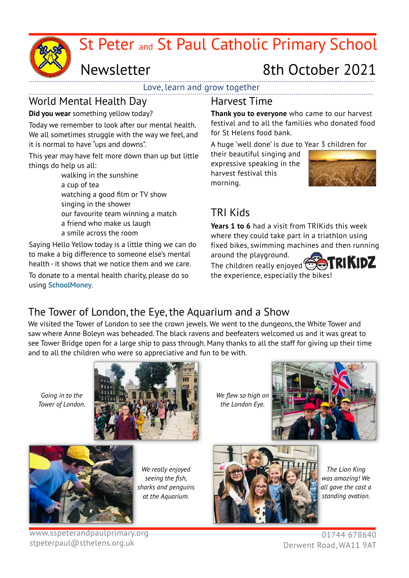

# Newsletter 8th October 2021

Love, learn and grow together

# World Mental Health Day

**Did you wear** something yellow today?

Today we remember to look after our mental health. We all sometimes struggle with the way we feel, and it is normal to have "ups and downs".

This year may have felt more down than up but little things do help us all:

walking in the sunshine a cup of tea watching a good film or TV show singing in the shower our favourite team winning a match a friend who make us laugh a smile across the room

Saying Hello Yellow today is a little thing we can do to make a big difference to someone else's mental health - it shows that we notice them and we care. To donate to a mental health charity, please do so using **SchoolMoney**.

### Harvest Time

**Thank you to everyone** who came to our harvest festival and to all the families who donated food for St Helens food bank.

A huge 'well done' is due to Year 3 children for their beautiful singing and

expressive speaking in the harvest festival this morning.



## TRI Kids

**Years 1 to 6** had a visit from TRIKids this week where they could take part in a triathlon using fixed bikes, swimming machines and then running around the playground.



The children really enjoyed<sup>(1</sup> the experience, especially the bikes!

# The Tower of London, the Eye, the Aquarium and a Show

We visited the Tower of London to see the crown jewels. We went to the dungeons, the White Tower and saw where Anne Boleyn was beheaded. The black ravens and beefeaters welcomed us and it was great to see Tower Bridge open for a large ship to pass through. Many thanks to all the staff for giving up their time and to all the children who were so appreciative and fun to be with.

*Going in to the Tower of London.*



*We flew so high on the London Eye.*





*We really enjoyed seeing the fish, sharks and penguins at the Aquarium.*



*The Lion King was amazing! We all gave the cast a standing ovation.*

www.sspeterandpaulprimary.org stpeterpaul@sthelens.org.uk